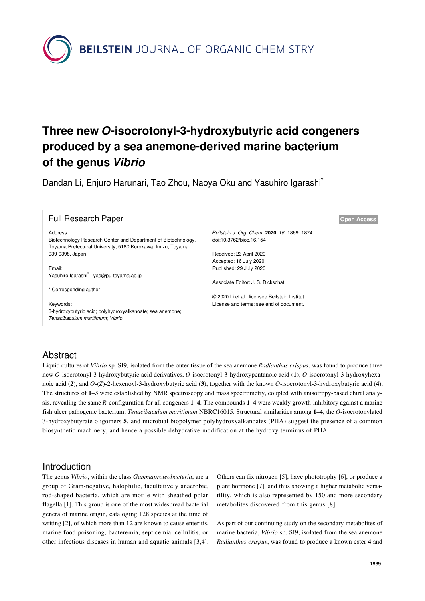**BEILSTEIN** JOURNAL OF ORGANIC CHEMISTRY

# **Three new** *O***-isocrotonyl-3-hydroxybutyric acid congeners produced by a sea anemone-derived marine bacterium of the genus** *Vibrio*

Dandan Li, Enjuro Harunari, Tao Zhou, Naoya Oku and Yasuhiro Igarashi<sup>\*</sup>

| <b>Full Research Paper</b>                                                                                                                |                                                                         | <b>Open Access</b> |
|-------------------------------------------------------------------------------------------------------------------------------------------|-------------------------------------------------------------------------|--------------------|
| Address:<br>Biotechnology Research Center and Department of Biotechnology,<br>Toyama Prefectural University, 5180 Kurokawa, Imizu, Toyama | Beilstein J. Org. Chem. 2020, 16, 1869-1874.<br>doi:10.3762/bjoc.16.154 |                    |
| 939-0398, Japan                                                                                                                           | Received: 23 April 2020                                                 |                    |
|                                                                                                                                           | Accepted: 16 July 2020                                                  |                    |
| Email:                                                                                                                                    | Published: 29 July 2020                                                 |                    |
| Yasuhiro Igarashi <sup>*</sup> - yas@pu-toyama.ac.jp                                                                                      |                                                                         |                    |
|                                                                                                                                           | Associate Editor: J. S. Dickschat                                       |                    |
| * Corresponding author                                                                                                                    |                                                                         |                    |
|                                                                                                                                           | © 2020 Li et al.; licensee Beilstein-Institut.                          |                    |
| Keywords:                                                                                                                                 | License and terms: see end of document.                                 |                    |
| 3-hydroxybutyric acid; polyhydroxyalkanoate; sea anemone;                                                                                 |                                                                         |                    |
| Tenacibaculum maritimum; Vibrio                                                                                                           |                                                                         |                    |

### Abstract

Liquid cultures of *Vibrio* sp. SI9, isolated from the outer tissue of the sea anemone *Radianthus crispus*, was found to produce three new *O*-isocrotonyl-3-hydroxybutyric acid derivatives, *O*-isocrotonyl-3-hydroxypentanoic acid (**1**), *O*-isocrotonyl-3-hydroxyhexanoic acid (**2**), and *O*-(*Z*)-2-hexenoyl-3-hydroxybutyric acid (**3**), together with the known *O*-isocrotonyl-3-hydroxybutyric acid (**4**). The structures of **1**–**3** were established by NMR spectroscopy and mass spectrometry, coupled with anisotropy-based chiral analysis, revealing the same *R*-configuration for all congeners **1**–**4**. The compounds **1**–**4** were weakly growth-inhibitory against a marine fish ulcer pathogenic bacterium, *Tenacibaculum maritimum* NBRC16015. Structural similarities among **1**–**4**, the *O*-isocrotonylated 3-hydroxybutyrate oligomers **5**, and microbial biopolymer polyhydroxyalkanoates (PHA) suggest the presence of a common biosynthetic machinery, and hence a possible dehydrative modification at the hydroxy terminus of PHA.

### Introduction

The genus *Vibrio*, within the class *Gammaproteobacteria*, are a group of Gram-negative, halophilic, facultatively anaerobic, rod-shaped bacteria, which are motile with sheathed polar flagella [\[1\]](#page-5-0). This group is one of the most widespread bacterial genera of marine origin, cataloging 128 species at the time of writing [\[2\],](#page-5-1) of which more than 12 are known to cause enteritis, marine food poisoning, bacteremia, septicemia, cellulitis, or other infectious diseases in human and aquatic animals [\[3,4\]](#page-5-2). Others can fix nitrogen [\[5\]](#page-5-3), have phototrophy [\[6\],](#page-5-4) or produce a plant hormone [\[7\]](#page-5-5), and thus showing a higher metabolic versatility, which is also represented by 150 and more secondary metabolites discovered from this genus [\[8\]](#page-5-6).

As part of our continuing study on the secondary metabolites of marine bacteria, *Vibrio* sp. SI9, isolated from the sea anemone *Radianthus crispus*, was found to produce a known ester **4** and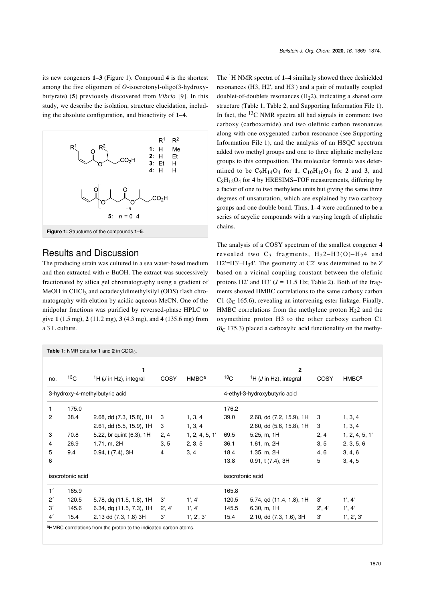its new congeners **1**–**3** ([Figure 1](#page-1-0)). Compound **4** is the shortest among the five oligomers of *O*-isocrotonyl-oligo(3-hydroxybutyrate) (**5**) previously discovered from *Vibrio* [\[9\].](#page-5-7) In this study, we describe the isolation, structure elucidation, including the absolute configuration, and bioactivity of **1**–**4**.

<span id="page-1-0"></span>

### Results and Discussion

The producing strain was cultured in a sea water-based medium and then extracted with *n*-BuOH. The extract was successively fractionated by silica gel chromatography using a gradient of MeOH in CHCl<sub>3</sub> and octadecyldimethylsilyl (ODS) flash chromatography with elution by acidic aqueous MeCN. One of the midpolar fractions was purified by reversed-phase HPLC to give **1** (1.5 mg), **2** (11.2 mg), **3** (4.3 mg), and **4** (135.6 mg) from a 3 L culture.

The 1H NMR spectra of **1**–**4** similarly showed three deshielded resonances (H3, H2', and H3') and a pair of mutually coupled doublet-of-doublets resonances  $(H<sub>2</sub>2)$ , indicating a shared core structure ([Table 1,](#page-1-1) [Table 2,](#page-2-0) and [Supporting Information File 1](#page-4-0)). In fact, the  $^{13}$ C NMR spectra all had signals in common: two carboxy (carboxamide) and two olefinic carbon resonances along with one oxygenated carbon resonance (see [Supporting](#page-4-0) [Information File 1](#page-4-0)), and the analysis of an HSQC spectrum added two methyl groups and one to three aliphatic methylene groups to this composition. The molecular formula was determined to be  $C_9H_{14}O_4$  for **1**,  $C_{10}H_{16}O_4$  for **2** and **3**, and C8H12O4 for **4** by HRESIMS–TOF measurements, differing by a factor of one to two methylene units but giving the same three degrees of unsaturation, which are explained by two carboxy groups and one double bond. Thus, **1**–**4** were confirmed to be a series of acyclic compounds with a varying length of aliphatic chains.

The analysis of a COSY spectrum of the smallest congener **4** revealed two  $C_3$  fragments,  $H_22-H3(O)-H_24$  and H2'=H3'–H34'. The geometry at C2' was determined to be *Z* based on a vicinal coupling constant between the olefinic protons H2' and H3'  $(J = 11.5 \text{ Hz}$ ; [Table 2](#page-2-0)). Both of the fragments showed HMBC correlations to the same carboxy carbon C1 ( $\delta$ C 165.6), revealing an intervening ester linkage. Finally, HMBC correlations from the methylene proton  $H<sub>2</sub>$  and the oxymethine proton H3 to the other carboxy carbon C1 ( $\delta$ <sup>C</sup> 175.3) placed a carboxylic acid functionality on the methy-

<span id="page-1-1"></span>

|                                |                 | Table 1: NMR data for 1 and 2 in CDCl <sub>3</sub> . |                |                         |                               |                                            |        |                         |
|--------------------------------|-----------------|------------------------------------------------------|----------------|-------------------------|-------------------------------|--------------------------------------------|--------|-------------------------|
|                                |                 |                                                      |                |                         |                               |                                            |        |                         |
|                                |                 | 1                                                    |                |                         |                               | $\overline{2}$                             |        |                         |
| no.                            | 13 <sub>C</sub> | <sup>1</sup> H ( <i>J</i> in Hz), integral           | COSY           | <b>HMBC<sup>a</sup></b> | 13 <sub>C</sub>               | <sup>1</sup> H ( <i>J</i> in Hz), integral | COSY   | <b>HMBC<sup>a</sup></b> |
| 3-hydroxy-4-methylbutyric acid |                 |                                                      |                |                         | 4-ethyl-3-hydroxybutyric acid |                                            |        |                         |
| 1                              | 175.0           |                                                      |                |                         | 176.2                         |                                            |        |                         |
| $\overline{c}$                 | 38.4            | 2.68, dd (7.3, 15.8), 1H                             | 3              | 1, 3, 4                 | 39.0                          | 2.68, dd (7.2, 15.9), 1H                   | 3      | 1, 3, 4                 |
|                                |                 | 2.61, dd (5.5, 15.9), 1H                             | 3              | 1, 3, 4                 |                               | 2.60, dd (5.6, 15.8), 1H                   | 3      | 1, 3, 4                 |
| 3                              | 70.8            | 5.22, br quint (6.3), 1H                             | 2, 4           | 1, 2, 4, 5, 1'          | 69.5                          | 5.25, m, 1H                                | 2, 4   | 1, 2, 4, 5, 1'          |
| 4                              | 26.9            | 1.71, m, 2H                                          | 3, 5           | 2, 3, 5                 | 36.1                          | 1.61, m, 2H                                | 3, 5   | 2, 3, 5, 6              |
| 5                              | 9.4             | 0.94, t(7.4), 3H                                     | $\overline{4}$ | 3, 4                    | 18.4                          | 1.35, m, 2H                                | 4, 6   | 3, 4, 6                 |
| 6                              |                 |                                                      |                |                         | 13.8                          | 0.91, t(7.4), 3H                           | 5      | 3, 4, 5                 |
| isocrotonic acid               |                 |                                                      |                |                         | isocrotonic acid              |                                            |        |                         |
| 1 <sup>′</sup>                 | 165.9           |                                                      |                |                         | 165.8                         |                                            |        |                         |
| 2 <sup>′</sup>                 | 120.5           | 5.78, dq (11.5, 1.8), 1H                             | 3'             | 1', 4'                  | 120.5                         | 5.74, qd (11.4, 1.8), 1H                   | 3'     | 1', 4'                  |
| 3'                             | 145.6           | 6.34, dq (11.5, 7.3), 1H                             | 2', 4'         | 1', 4'                  | 145.5                         | 6.30, m, 1H                                | 2', 4' | 1', 4'                  |
| 4 <sup>′</sup>                 | 15.4            | 2.13 dd (7.3, 1.8) 3H                                | 3'             | 1', 2', 3'              | 15.4                          | 2.10, dd (7.3, 1.6), 3H                    | 3'     | 1', 2', 3'              |

aHMBC correlations from the proton to the indicated carbon atoms.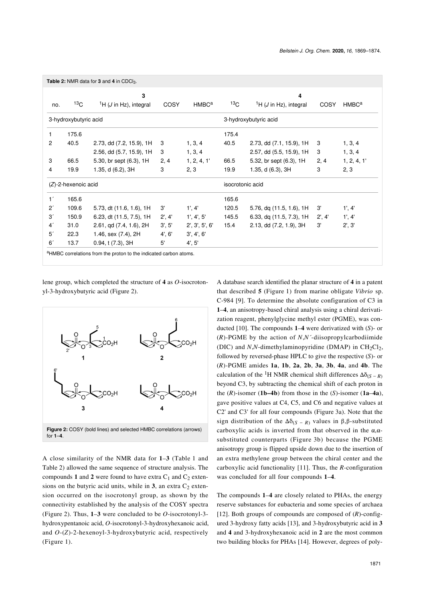<span id="page-2-0"></span>

|                |                        | 3                                          |        |                         | 4                |                                            |        |                   |
|----------------|------------------------|--------------------------------------------|--------|-------------------------|------------------|--------------------------------------------|--------|-------------------|
| no.            | 13 <sub>C</sub>        | <sup>1</sup> H ( <i>J</i> in Hz), integral | COSY   | <b>HMBC<sup>a</sup></b> | 13 <sub>C</sub>  | <sup>1</sup> H ( <i>J</i> in Hz), integral | COSY   | HMBC <sup>a</sup> |
|                | 3-hydroxybutyric acid  |                                            |        |                         |                  | 3-hydroxybutyric acid                      |        |                   |
| 1              | 175.6                  |                                            |        |                         | 175.4            |                                            |        |                   |
| $\overline{c}$ | 40.5                   | 2.73, dd (7.2, 15.9), 1H                   | 3      | 1, 3, 4                 | 40.5             | 2.73, dd (7.1, 15.9), 1H                   | 3      | 1, 3, 4           |
|                |                        | 2.56, dd (5.7, 15.9), 1H                   | 3      | 1, 3, 4                 |                  | 2.57, dd (5.5, 15.9), 1H                   | 3      | 1, 3, 4           |
| 3              | 66.5                   | 5.30, br sept (6.3), 1H                    | 2, 4   | 1, 2, 4, 1'             | 66.5             | 5.32, br sept (6.3), 1H                    | 2, 4   | 1, 2, 4, 1'       |
| 4              | 19.9                   | 1.35, d (6.2), 3H                          | 3      | 2, 3                    | 19.9             | 1.35, d $(6.3)$ , 3H                       | 3      | 2, 3              |
|                | $(Z)$ -2-hexenoic acid |                                            |        |                         | isocrotonic acid |                                            |        |                   |
| 1 <sup>′</sup> | 165.6                  |                                            |        |                         | 165.6            |                                            |        |                   |
| $2^{\prime}$   | 109.6                  | 5.73, dt (11.6, 1.6), 1H                   | 3'     | 1', 4'                  | 120.5            | 5.76, dq (11.5, 1.6), 1H                   | 3'     | 1', 4'            |
| 3'             | 150.9                  | 6.23, dt (11.5, 7.5), 1H                   | 2', 4' | 1', 4', 5'              | 145.5            | 6.33, dq (11.5, 7.3), 1H                   | 2', 4' | 1', 4'            |
| 4 <sup>′</sup> | 31.0                   | 2.61, qd (7.4, 1.6), 2H                    | 3', 5' | 2', 3', 5', 6'          | 15.4             | 2.13, dd (7.2, 1.9), 3H                    | 3'     | 2', 3'            |
| 5 <sup>′</sup> | 22.3                   | 1.46, sex (7.4), 2H                        | 4', 6' | 3', 4', 6'              |                  |                                            |        |                   |
| 6 <sup>′</sup> | 13.7                   | 0.94, t(7.3), 3H                           | 5'     | 4', 5'                  |                  |                                            |        |                   |

lene group, which completed the structure of **4** as *O*-isocrotonyl-3-hydroxybutyric acid [\(Figure 2](#page-2-1)).

<span id="page-2-1"></span>

A close similarity of the NMR data for **1**–**3** [\(Table 1](#page-1-1) and [Table 2](#page-2-0)) allowed the same sequence of structure analysis. The compounds 1 and 2 were found to have extra  $C_1$  and  $C_2$  extensions on the butyric acid units, while in  $3$ , an extra  $C_2$  extension occurred on the isocrotonyl group, as shown by the connectivity established by the analysis of the COSY spectra ([Figure 2](#page-2-1)). Thus, **1**–**3** were concluded to be *O*-isocrotonyl-3 hydroxypentanoic acid, *O*-isocrotonyl-3-hydroxyhexanoic acid, and *O*-(*Z*)-2-hexenoyl-3-hydroxybutyric acid, respectively ([Figure 1](#page-1-0)).

A database search identified the planar structure of **4** in a patent that described **5** ([Figure 1](#page-1-0)) from marine obligate *Vibrio* sp. C-984 [\[9\]](#page-5-7). To determine the absolute configuration of C3 in **1**–**4**, an anisotropy-based chiral analysis using a chiral derivatization reagent, phenylglycine methyl ester (PGME), was conducted [\[10\].](#page-5-8) The compounds **1**–**4** were derivatized with (*S*)- or (*R*)-PGME by the action of *N*,*N´*-diisopropylcarbodiimide (DIC) and  $N$ , $N$ -dimethylaminopyridine (DMAP) in CH<sub>2</sub>Cl<sub>2</sub>, followed by reversed-phase HPLC to give the respective (*S*)- or (*R*)-PGME amides **1a**, **1b**, **2a**, **2b**, **3a**, **3b**, **4a**, and **4b**. The calculation of the <sup>1</sup>H NMR chemical shift differences  $\Delta \delta_{(S-R)}$ beyond C3, by subtracting the chemical shift of each proton in the (*R*)-isomer (**1b–4b**) from those in the (*S*)-isomer (**1a**–**4a**), gave positive values at C4, C5, and C6 and negative values at C2' and C3' for all four compounds ([Figure 3a](#page-3-0)). Note that the sign distribution of the  $\Delta\delta$ <sub>(S - R)</sub> values in β,β-substituted carboxylic acids is inverted from that observed in the  $\alpha$ , $\alpha$ substituted counterparts ([Figure 3b](#page-3-0)) because the PGME anisotropy group is flipped upside down due to the insertion of an extra methylene group between the chiral center and the carboxylic acid functionality [\[11\]](#page-5-9). Thus, the *R*-configuration was concluded for all four compounds **1**–**4**.

The compounds **1**–**4** are closely related to PHAs, the energy reserve substances for eubacteria and some species of archaea [\[12\]](#page-5-10). Both groups of compounds are composed of  $(R)$ -configured 3-hydroxy fatty acids [\[13\],](#page-5-11) and 3-hydroxybutyric acid in **3** and **4** and 3-hydroxyhexanoic acid in **2** are the most common two building blocks for PHAs [\[14\]](#page-5-12). However, degrees of poly-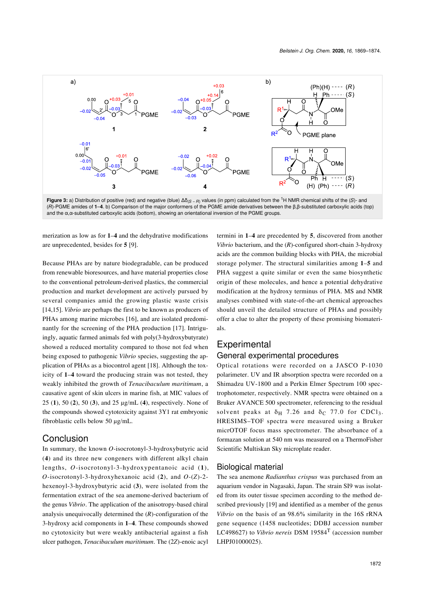<span id="page-3-0"></span>

merization as low as for **1**–**4** and the dehydrative modifications are unprecedented, besides for **5** [\[9\]](#page-5-7).

Because PHAs are by nature biodegradable, can be produced from renewable bioresources, and have material properties close to the conventional petroleum-derived plastics, the commercial production and market development are actively pursued by several companies amid the growing plastic waste crisis [\[14,15\].](#page-5-12) *Vibrio* are perhaps the first to be known as producers of PHAs among marine microbes [\[16\]](#page-5-13), and are isolated predominantly for the screening of the PHA production [\[17\]](#page-5-14). Intriguingly, aquatic farmed animals fed with poly(3-hydroxybutyrate) showed a reduced mortality compared to those not fed when being exposed to pathogenic *Vibrio* species, suggesting the application of PHAs as a biocontrol agent [\[18\].](#page-5-15) Although the toxicity of **1**–**4** toward the producing strain was not tested, they weakly inhibited the growth of *Tenacibaculum maritimum*, a causative agent of skin ulcers in marine fish, at MIC values of 25 (**1**), 50 (**2**), 50 (**3**), and 25 μg/mL (**4**), respectively. None of the compounds showed cytotoxicity against 3Y1 rat embryonic fibroblastic cells below 50 μg/mL.

#### Conclusion

In summary, the known *O*-isocrotonyl-3-hydroxybutyric acid (**4**) and its three new congeners with different alkyl chain lengths, *O*-isocrotonyl-3-hydroxypentanoic acid (**1**), *O*-isocrotonyl-3-hydroxyhexanoic acid (**2**), and *O*-(*Z*)-2 hexenoyl-3-hydroxybutyric acid (**3**), were isolated from the fermentation extract of the sea anemone-derived bacterium of the genus *Vibrio*. The application of the anisotropy-based chiral analysis unequivocally determined the (*R*)-configuration of the 3-hydroxy acid components in **1**–**4**. These compounds showed no cytotoxicity but were weakly antibacterial against a fish ulcer pathogen, *Tenacibaculum maritimum*. The (2*Z*)-enoic acyl

termini in **1**–**4** are precedented by **5**, discovered from another *Vibrio* bacterium, and the (*R*)-configured short-chain 3-hydroxy acids are the common building blocks with PHA, the microbial storage polymer. The structural similarities among **1**–**5** and PHA suggest a quite similar or even the same biosynthetic origin of these molecules, and hence a potential dehydrative modification at the hydroxy terminus of PHA. MS and NMR analyses combined with state-of-the-art chemical approaches should unveil the detailed structure of PHAs and possibly offer a clue to alter the property of these promising biomaterials.

# **Experimental**

### General experimental procedures

Optical rotations were recorded on a JASCO P-1030 polarimeter. UV and IR absorption spectra were recorded on a Shimadzu UV-1800 and a Perkin Elmer Spectrum 100 spectrophotometer, respectively. NMR spectra were obtained on a Bruker AVANCE 500 spectrometer, referencing to the residual solvent peaks at  $\delta_H$  7.26 and  $\delta_C$  77.0 for CDCl<sub>3</sub>. HRESIMS–TOF spectra were measured using a Bruker micrOTOF focus mass spectrometer. The absorbance of a formazan solution at 540 nm was measured on a ThermoFisher Scientific Multiskan Sky microplate reader.

#### Biological material

The sea anemone *Radianthus crispus* was purchased from an aquarium vendor in Nagasaki, Japan. The strain SI9 was isolated from its outer tissue specimen according to the method described previously [\[19\]](#page-5-16) and identified as a member of the genus *Vibrio* on the basis of an 98.6% similarity in the 16S rRNA gene sequence (1458 nucleotides; DDBJ accession number LC498627) to *Vibrio nereis* DSM 19584T (accession number LHPJ01000025).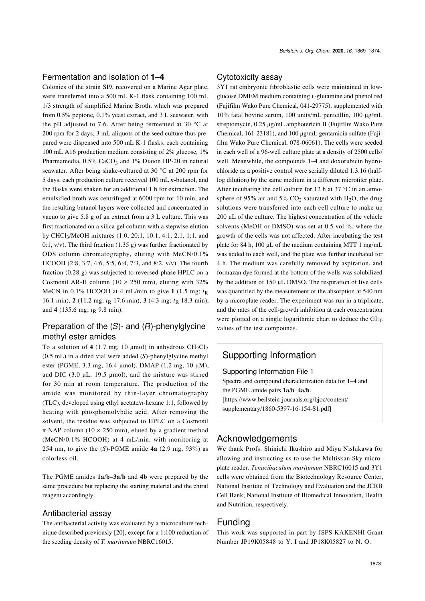#### Fermentation and isolation of **1**–**4**

Colonies of the strain SI9, recovered on a Marine Agar plate, were transferred into a 500 mL K-1 flask containing 100 mL 1/3 strength of simplified Marine Broth, which was prepared from 0.5% peptone, 0.1% yeast extract, and 3 L seawater, with the pH adjusted to 7.6. After being fermented at 30 °C at 200 rpm for 2 days, 3 mL aliquots of the seed culture thus prepared were dispensed into 500 mL K-1 flasks, each containing 100 mL A16 production medium consisting of 2% glucose, 1% Pharmamedia,  $0.5\%$  CaCO<sub>3</sub> and 1% Diaion HP-20 in natural seawater. After being shake-cultured at 30 °C at 200 rpm for 5 days, each production culture received 100 mL *n*-butanol, and the flasks were shaken for an additional 1 h for extraction. The emulsified broth was centrifuged at 6000 rpm for 10 min, and the resulting butanol layers were collected and concentrated in vacuo to give 5.8 g of an extract from a 3 L culture. This was first fractionated on a silica gel column with a stepwise elution by CHCl3/MeOH mixtures (1:0, 20:1, 10:1, 4:1, 2:1, 1:1, and 0:1,  $v/v$ ). The third fraction (1.35 g) was further fractionated by ODS column chromatography, eluting with MeCN/0.1% HCOOH (2:8, 3:7, 4:6, 5:5, 6:4, 7:3, and 8:2, v/v). The fourth fraction (0.28 g) was subjected to reversed-phase HPLC on a Cosmosil AR-II column ( $10 \times 250$  mm), eluting with 32% MeCN in 0.1% HCOOH at 4 mL/min to give 1 (1.5 mg;  $t_R$ ) 16.1 min), **2** (11.2 mg;  $t<sub>R</sub>$  17.6 min), **3** (4.3 mg;  $t<sub>R</sub>$  18.3 min), and **4** (135.6 mg;  $t<sub>R</sub>$  9.8 min).

### Preparation of the (*S*)- and (*R*)-phenylglycine methyl ester amides

To a solution of  $4$  (1.7 mg, 10 µmol) in anhydrous  $CH_2Cl_2$ (0.5 mL) in a dried vial were added (*S*)-phenylglycine methyl ester (PGME, 3.3 mg, 16.4 μmol), DMAP (1.2 mg, 10 μM), and DIC (3.0 μL, 19.5 μmol), and the mixture was stirred for 30 min at room temperature. The production of the amide was monitored by thin-layer chromatography (TLC), developed using ethyl acetate/*n*-hexane 1:1, followed by heating with phosphomolybdic acid. After removing the solvent, the residue was subjected to HPLC on a Cosmosil  $π$ -NAP column (10 × 250 mm), eluted by a gradient method (MeCN/0.1% HCOOH) at 4 mL/min, with monitoring at 254 nm, to give the (*S*)-PGME amide **4a** (2.9 mg, 93%) as colorless oil.

The PGME amides **1a**/**b**–**3a**/**b** and **4b** were prepared by the same procedure but replacing the starting material and the chiral reagent accordingly.

#### Antibacterial assay

The antibacterial activity was evaluated by a microculture technique described previously [\[20\],](#page-5-17) except for a 1:100 reduction of the seeding density of *T. maritimum* NBRC16015.

#### Cytotoxicity assay

3Y1 rat embryonic fibroblastic cells were maintained in lowglucose DMEM medium containing L-glutamine and phenol red (Fujifilm Wako Pure Chemical, 041-29775), supplemented with 10% fatal bovine serum, 100 units/mL penicillin, 100 μg/mL streptomycin, 0.25 μg/mL amphotericin B (Fujifilm Wako Pure Chemical, 161-23181), and 100 μg/mL gentamicin sulfate (Fujifilm Wako Pure Chemical, 078-06061). The cells were seeded in each well of a 96-well culture plate at a density of 2500 cells/ well. Meanwhile, the compounds **1**–**4** and doxorubicin hydrochloride as a positive control were serially diluted 1:3.16 (halflog dilution) by the same medium in a different microtiter plate. After incubating the cell culture for 12 h at 37  $\degree$ C in an atmosphere of 95% air and 5%  $CO<sub>2</sub>$  saturated with H<sub>2</sub>O, the drug solutions were transferred into each cell culture to make up 200 μL of the culture. The highest concentration of the vehicle solvents (MeOH or DMSO) was set at 0.5 vol %, where the growth of the cells was not affected. After incubating the test plate for 84 h, 100 μL of the medium containing MTT 1 mg/mL was added to each well, and the plate was further incubated for 4 h. The medium was carefully removed by aspiration, and formazan dye formed at the bottom of the wells was solubilized by the addition of 150 μL DMSO. The respiration of live cells was quantified by the measurement of the absorption at 540 nm by a microplate reader. The experiment was run in a triplicate, and the rates of the cell-growth inhibition at each concentration were plotted on a single logarithmic chart to deduce the  $GI_{50}$ values of the test compounds.

### Supporting Information

<span id="page-4-0"></span>Supporting Information File 1

Spectra and compound characterization data for **1**–**4** and the PGME amide pairs **1a**/**b**–**4a**/**b**. [\[https://www.beilstein-journals.org/bjoc/content/](https://www.beilstein-journals.org/bjoc/content/supplementary/1860-5397-16-154-S1.pdf) [supplementary/1860-5397-16-154-S1.pdf\]](https://www.beilstein-journals.org/bjoc/content/supplementary/1860-5397-16-154-S1.pdf)

#### Acknowledgements

We thank Profs. Shinichi Ikushiro and Miyu Nishikawa for allowing and instructing us to use the Multiskan Sky microplate reader. *Tenacibaculum maritimum* NBRC16015 and 3Y1 cells were obtained from the Biotechnology Resource Center, National Institute of Technology and Evaluation and the JCRB Cell Bank, National Institute of Biomedical Innovation, Health and Nutrition, respectively.

#### Funding

This work was supported in part by JSPS KAKENHI Grant Number JP19K05848 to Y. I and JP18K05827 to N. O.